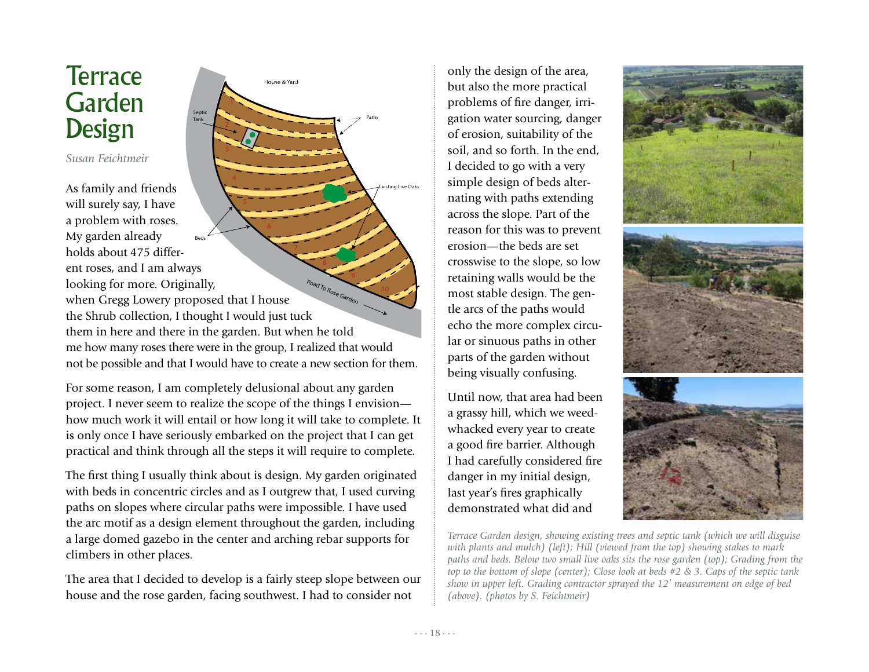## **Terrace** Garden Design

*Susan Feichtmeir*

As family and friends will surely say, I have a problem with roses. My garden already holds about 475 different roses, and I am always looking for more. Originally, when Gregg Lowery proposed that I house the Shrub collection, I thought I would just tuck them in here and there in the garden. But when he told me how many roses there were in the group, I realized that would not be possible and that I would have to create a new section for them. Beds Existing Live Oaks Road To Rose Garden

House & Yard

Septic Tank

Paths

For some reason, I am completely delusional about any garden project. I never seem to realize the scope of the things I envision how much work it will entail or how long it will take to complete. It is only once I have seriously embarked on the project that I can get practical and think through all the steps it will require to complete.

The first thing I usually think about is design. My garden originated with beds in concentric circles and as I outgrew that, I used curving paths on slopes where circular paths were impossible. I have used the arc motif as a design element throughout the garden, including a large domed gazebo in the center and arching rebar supports for climbers in other places.

The area that I decided to develop is a fairly steep slope between our house and the rose garden, facing southwest. I had to consider not

only the design of the area, but also the more practical problems of fire danger, irrigation water sourcing, danger of erosion, suitability of the soil, and so forth. In the end, I decided to go with a very simple design of beds alternating with paths extending across the slope. Part of the reason for this was to prevent erosion—the beds are set crosswise to the slope, so low retaining walls would be the most stable design. The gentle arcs of the paths would echo the more complex circular or sinuous paths in other parts of the garden without being visually confusing.

Until now, that area had been a grassy hill, which we weedwhacked every year to create a good fire barrier. Although I had carefully considered fire danger in my initial design, last year's fires graphically demonstrated what did and



*Terrace Garden design, showing existing trees and septic tank (which we will disguise with plants and mulch) (left); Hill (viewed from the top) showing stakes to mark paths and beds. Below two small live oaks sits the rose garden (top); Grading from the top to the bottom of slope (center); Close look at beds #2 & 3. Caps of the septic tank show in upper left. Grading contractor sprayed the 12' measurement on edge of bed (above). (photos by S. Feichtmeir)*